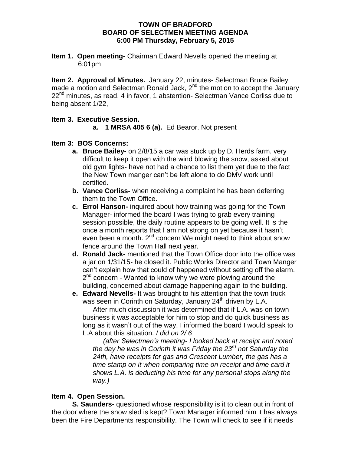### **TOWN OF BRADFORD BOARD OF SELECTMEN MEETING AGENDA 6:00 PM Thursday, February 5, 2015**

**Item 1. Open meeting-** Chairman Edward Nevells opened the meeting at 6:01pm

**Item 2. Approval of Minutes.** January 22, minutes- Selectman Bruce Bailey made a motion and Selectman Ronald Jack,  $2^{nd}$  the motion to accept the January 22<sup>nd</sup> minutes, as read. 4 in favor, 1 abstention- Selectman Vance Corliss due to being absent 1/22,

## **Item 3. Executive Session.**

**a. 1 MRSA 405 6 (a).** Ed Bearor. Not present

## **Item 3: BOS Concerns:**

- **a. Bruce Bailey-** on 2/8/15 a car was stuck up by D. Herds farm, very difficult to keep it open with the wind blowing the snow, asked about old gym lights- have not had a chance to list them yet due to the fact the New Town manger can't be left alone to do DMV work until certified.
- **b. Vance Corliss-** when receiving a complaint he has been deferring them to the Town Office.
- **c. Errol Hanson-** inquired about how training was going for the Town Manager- informed the board I was trying to grab every training session possible, the daily routine appears to be going well. It is the once a month reports that I am not strong on yet because it hasn't even been a month. 2<sup>nd</sup> concern We might need to think about snow fence around the Town Hall next year.
- **d. Ronald Jack-** mentioned that the Town Office door into the office was a jar on 1/31/15- he closed it. Public Works Director and Town Manger can't explain how that could of happened without setting off the alarm. 2<sup>nd</sup> concern - Wanted to know why we were plowing around the building, concerned about damage happening again to the building.
- **e. Edward Nevells-** It was brought to his attention that the town truck was seen in Corinth on Saturday, January 24<sup>th</sup> driven by L.A.

After much discussion it was determined that if L.A. was on town business it was acceptable for him to stop and do quick business as long as it wasn't out of the way. I informed the board I would speak to L.A about this situation. *I did on 2/ 6*

*(after Selectmen's meeting- I looked back at receipt and noted the day he was in Corinth it was Friday the 23rd not Saturday the 24th, have receipts for gas and Crescent Lumber, the gas has a time stamp on it when comparing time on receipt and time card it shows L.A. is deducting his time for any personal stops along the way.)*

# **Item 4. Open Session.**

**S. Saunders-** questioned whose responsibility is it to clean out in front of the door where the snow sled is kept? Town Manager informed him it has always been the Fire Departments responsibility. The Town will check to see if it needs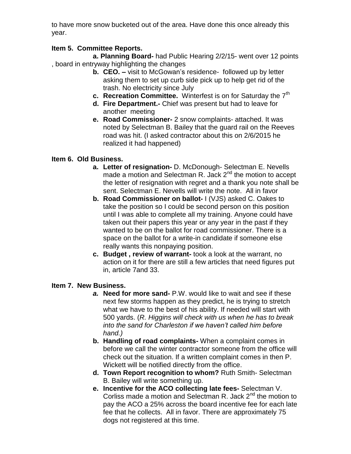to have more snow bucketed out of the area. Have done this once already this year.

## **Item 5. Committee Reports.**

**a. Planning Board-** had Public Hearing 2/2/15- went over 12 points , board in entryway highlighting the changes

- **b. CEO. –** visit to McGowan's residence- followed up by letter asking them to set up curb side pick up to help get rid of the trash. No electricity since July
- **c.** Recreation Committee. Winterfest is on for Saturday the 7<sup>th</sup>
- **d. Fire Department.-** Chief was present but had to leave for another meeting
- **e. Road Commissioner-** 2 snow complaints- attached. It was noted by Selectman B. Bailey that the guard rail on the Reeves road was hit. (I asked contractor about this on 2/6/2015 he realized it had happened)

## **Item 6. Old Business.**

- **a. Letter of resignation-** D. McDonough- Selectman E. Nevells made a motion and Selectman R. Jack 2<sup>nd</sup> the motion to accept the letter of resignation with regret and a thank you note shall be sent. Selectman E. Nevells will write the note. All in favor
- **b. Road Commissioner on ballot-** I (VJS) asked C. Oakes to take the position so I could be second person on this position until I was able to complete all my training. Anyone could have taken out their papers this year or any year in the past if they wanted to be on the ballot for road commissioner. There is a space on the ballot for a write-in candidate if someone else really wants this nonpaying position.
- **c. Budget , review of warrant-** took a look at the warrant, no action on it for there are still a few articles that need figures put in, article 7and 33.

## **Item 7. New Business.**

- *a.* **Need for more sand-** P.W. would like to wait and see if these next few storms happen as they predict, he is trying to stretch what we have to the best of his ability. If needed will start with 500 yards. (*R. Higgins will check with us when he has to break into the sand for Charleston if we haven't called him before hand.)*
- **b. Handling of road complaints-** When a complaint comes in before we call the winter contractor someone from the office will check out the situation. If a written complaint comes in then P. Wickett will be notified directly from the office.
- **d. Town Report recognition to whom?** Ruth Smith- Selectman B. Bailey will write something up.
- **e. Incentive for the ACO collecting late fees-** Selectman V. Corliss made a motion and Selectman R. Jack 2<sup>nd</sup> the motion to pay the ACO a 25% across the board incentive fee for each late fee that he collects. All in favor. There are approximately 75 dogs not registered at this time.